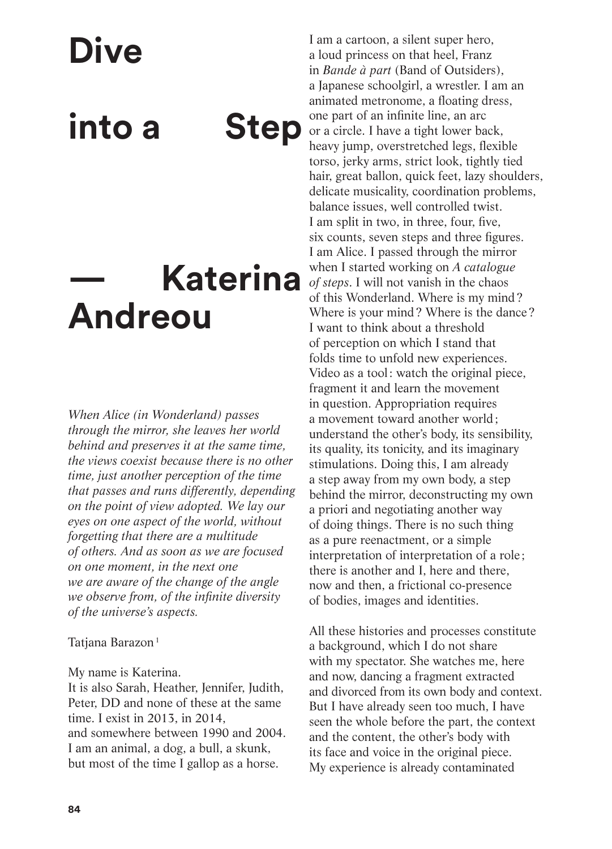**Dive** 

**into a Step**

## **— Katerina Andreou**

*When Alice (in Wonderland) passes through the mirror, she leaves her world behind and preserves it at the same time, the views coexist because there is no other time, just another perception of the time that passes and runs differently, depending on the point of view adopted. We lay our eyes on one aspect of the world, without forgetting that there are a multitude of others. And as soon as we are focused on one moment, in the next one we are aware of the change of the angle we observe from, of the infinite diversity of the universe's aspects.* 

Tatjana Barazon<sup>1</sup>

My name is Katerina.

It is also Sarah, Heather, Jennifer, Judith, Peter, DD and none of these at the same time. I exist in 2013, in 2014, and somewhere between 1990 and 2004. I am an animal, a dog, a bull, a skunk, but most of the time I gallop as a horse.

I am a cartoon, a silent super hero, a loud princess on that heel, Franz in *Bande à part* (Band of Outsiders), a Japanese schoolgirl, a wrestler. I am an animated metronome, a floating dress, one part of an infinite line, an arc or a circle. I have a tight lower back, heavy jump, overstretched legs, flexible torso, jerky arms, strict look, tightly tied hair, great ballon, quick feet, lazy shoulders, delicate musicality, coordination problems, balance issues, well controlled twist. I am split in two, in three, four, five, six counts, seven steps and three figures. I am Alice. I passed through the mirror when I started working on *A catalogue of steps*. I will not vanish in the chaos of this Wonderland. Where is my mind? Where is your mind? Where is the dance? I want to think about a threshold of perception on which I stand that folds time to unfold new experiences. Video as a tool: watch the original piece, fragment it and learn the movement in question. Appropriation requires a movement toward another world; understand the other's body, its sensibility, its quality, its tonicity, and its imaginary stimulations. Doing this, I am already a step away from my own body, a step behind the mirror, deconstructing my own a priori and negotiating another way of doing things. There is no such thing as a pure reenactment, or a simple interpretation of interpretation of a role ; there is another and I, here and there, now and then, a frictional co-presence of bodies, images and identities.

All these histories and processes constitute a background, which I do not share with my spectator. She watches me, here and now, dancing a fragment extracted and divorced from its own body and context. But I have already seen too much, I have seen the whole before the part, the context and the content, the other's body with its face and voice in the original piece. My experience is already contaminated